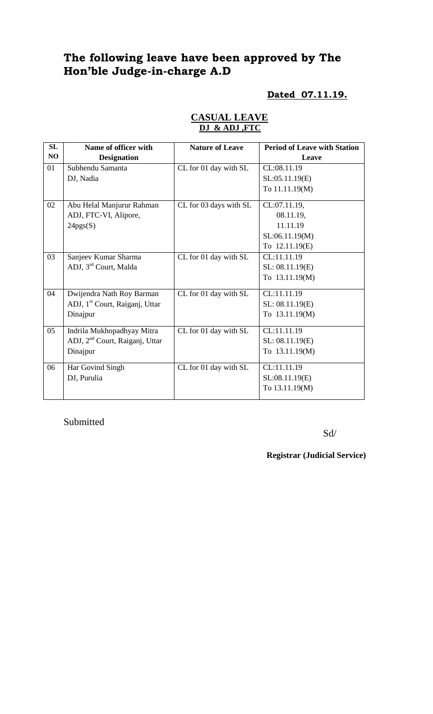# **The following leave have been approved by The Hon'ble Judge-in-charge A.D**

## **Dated 07.11.19.**

| SL | Name of officer with                       | <b>Nature of Leave</b> | <b>Period of Leave with Station</b> |
|----|--------------------------------------------|------------------------|-------------------------------------|
| NO | <b>Designation</b>                         |                        | Leave                               |
| 01 | Subhendu Samanta                           | CL for 01 day with SL  | CL:08.11.19                         |
|    | DJ, Nadia                                  |                        | SL:05.11.19(E)                      |
|    |                                            |                        | To 11.11.19(M)                      |
| 02 | Abu Helal Manjurur Rahman                  | CL for 03 days with SL | CL:07.11.19,                        |
|    | ADJ, FTC-VI, Alipore,                      |                        | 08.11.19,                           |
|    | 24pgs(S)                                   |                        | 11.11.19                            |
|    |                                            |                        | SL:06.11.19(M)                      |
|    |                                            |                        | To 12.11.19(E)                      |
| 03 | Sanjeev Kumar Sharma                       | CL for 01 day with SL  | CL:11.11.19                         |
|    | ADJ, 3 <sup>rd</sup> Court, Malda          |                        | SL: 08.11.19(E)                     |
|    |                                            |                        | To 13.11.19(M)                      |
| 04 | Dwijendra Nath Roy Barman                  | CL for 01 day with SL  | CL:11.11.19                         |
|    | ADJ, 1 <sup>st</sup> Court, Raiganj, Uttar |                        | SL: 08.11.19(E)                     |
|    | Dinajpur                                   |                        | To 13.11.19(M)                      |
| 05 | Indrila Mukhopadhyay Mitra                 | CL for 01 day with SL  | CL:11.11.19                         |
|    | ADJ, 2 <sup>nd</sup> Court, Raiganj, Uttar |                        | SL: 08.11.19(E)                     |
|    | Dinajpur                                   |                        | To 13.11.19(M)                      |
| 06 | Har Govind Singh                           | CL for 01 day with SL  | CL:11.11.19                         |
|    | DJ, Purulia                                |                        | SL:08.11.19(E)                      |
|    |                                            |                        | To 13.11.19(M)                      |
|    |                                            |                        |                                     |

### **CASUAL LEAVE DJ & ADJ ,FTC**

Submitted

Sd/

**Registrar (Judicial Service)**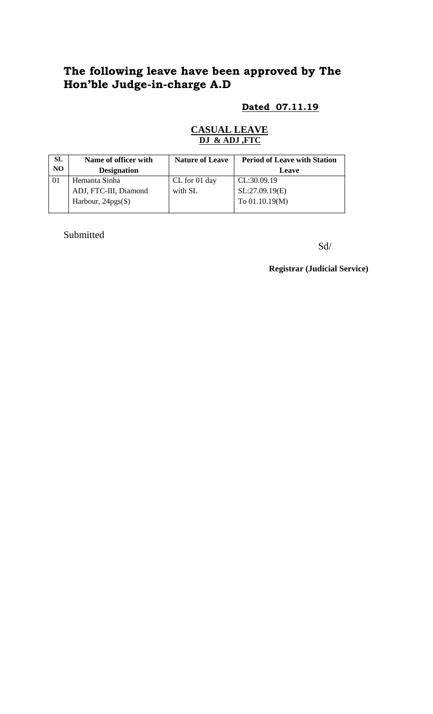## **The following leave have been approved by The Hon'ble Judge-in-charge A.D**

### **Dated 07.11.19**

### **CASUAL LEAVE DJ & ADJ ,FTC**

| SL | Name of officer with  | <b>Nature of Leave</b> | <b>Period of Leave with Station</b> |
|----|-----------------------|------------------------|-------------------------------------|
| NO | <b>Designation</b>    |                        | <b>Leave</b>                        |
|    | Hemanta Sinha         | CL for 01 day          | CL:30.09.19                         |
|    | ADJ, FTC-III, Diamond | with SL                | SL:27.09.19(E)                      |
|    | Harbour, $24pgs(S)$   |                        | To $01.10.19(M)$                    |
|    |                       |                        |                                     |

Submitted

Sd/

**Registrar (Judicial Service)**